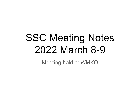# SSC Meeting Notes 2022 March 8-9

Meeting held at WMKO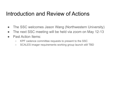#### Introduction and Review of Actions

- The SSC welcomes Jason Wang (Northwestern University)
- The next SSC meeting will be held via zoom on May 12-13
- Past Action Items:
	- KPF cadence committee requests to present to the SSC
	- SCALES imager requirements working group launch still TBD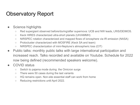#### Observatory Report

- Science highlights
	- Red supergiant observed before/during/after supernova: UCB and NW leads, LRIS/DEIMOS.
	- Keck HIRES characterized ultra-short planets (UH/AMMH)
	- NIRSPEC rotation characterized and mapped flows of ionosphere via IR emission (NASA)
	- Protocluster characterized with MOSFIRE (Keck SA and team)
	- NIRSPEC characterization of mini-Neptune's atmospheric loss (CIT)
- Public talks: monthly public talks with large international participation and increased reach. Talks recorded and available on Youtube. Schedule for 2022 now being defined (recommended speakers welcome).
- COVID status
	- Switch to pajama mode during the Omicron surge
	- There were 50 cases during the last variants
	- HQ remains open. Non-site essential staff can work from home
	- Reducing restrictions until April 2022.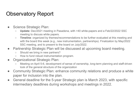#### Observatory Report

- Science Strategic Plan:
	- **Update:** Dec/2021 meeting in Pasadena, with >40 white-papers and a Feb/22/2022 SSC meeting to discuss white papers.
	- **Timeline**: organized by themes/recommendations to be further evaluated at this meeting and with the board this week (e.g., new instrumentation, partnerships). Finalization by May/2022 SSC meeting, and to present to the board on July/2022.
- Partnership Strategic Plan will be discussed at upcoming board meeting.
	- Should we bring in new partners?
	- How to fund robust instrumentation program.
- Organizational Strategic Plan:
	- Meeting on April 5-6, development of sense of ownership, long-term planning and staff-driven look of the general structure of the organization
- Community Strategic Plan: enhance community relations and produce a white paper for inclusion into the plan.
- General deadline for the 5-year Strategic plan is March 2023, with specific intermediary deadlines during workshops and meetings in 2022.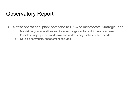#### Observatory Report

- 5-year operational plan: postpone to FY24 to incorporate Strategic Plan.
	- Maintain regular operations and include changes in the workforce environment.
	- Complete major projects underway and address major infrastructure needs.
	- Develop community engagement package.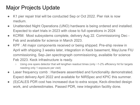## Major Projects Update

- K1 pier repair trial will be conducted Sep or Oct 2022. Pier risk is now medium.
- Unattended Night Operations (UNO) hardware is being ordered and installed. Expected to start trials in 2023 with close to full operations in 2024
- KCRM: Most subsystems complete, delivery Aug 22. Commissioning Dec Feb and available for science in March 2023.
- KPF : All major components received or being shipped. Pre-ship review in April with shipping 3 weeks later, integration in Keck basement, May/June FIU commissioning, Sep-Jan spectrograph commissioning, available for science Feb 2023. Keck infrastructure is ready.
	- Using one spare detector that will lengthen readout times (only ~1-2% efficiency hit for targets needing only 1 exposure per visit)
- Laser frequency comb : Hardware assembled and functionality demonstrated. Expect delivery April 2022 and available for NIRSpec and KPIC this summer.
- (S)CALES PDR cost has increased due to extra scope, Keck-directed design work, and underestimates. Passed PDR, new integration facility done.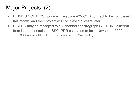# Major Projects (2)

- DEIMOS CCD+FCS upgrade: Teledyne e2V CCD contract to be completed this month, and then project will complete 2.5 years later
- HISPEC may be rescoped to a 2 channel spectrograph (YJ + HK), different from last presentation to SSC. PDR estimated to be in November 2022.
	- SSC to review HISPEC science, scope, cost at May meeting.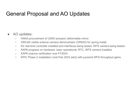#### General Proposal and AO Updates

#### AO updates:

- HAKA procurement of (3000 actuator) deformable mirror.
- ORCAS visible science camera demonstrator (ORKID) for spring install.
- K2 real-time controller installed and interfaces being tested, WFS camera being tested.
- KAPA progress on hardware: laser operational; RTC, WFS camera installed.
- KAPA science verification now FY2024.
- KPIC Phase 2 installation (mid-Feb 2023 start) with pyramid WFS throughput gains.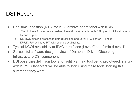#### DSI Report

- Real time ingestion (RTI) into KOA archive operational with KCWI.
	- Plan to have 4 instruments pushing Level 0 (raw) data through RTI by April. All instruments by end of year.
	- DEIMOS pipeline-processed data (quicklook and Level 1) will enter RTI next.
	- KPF/KCRM will have RTI with science availability.
- Typical KCWI availability at IPAC in  $\sim$ 10 sec (Level 0) to  $\sim$ 2 min (Level 1).
- Successful software design review of Database Driven Observing Infrastructure DSI component.
- DSI observing definition tool and night planning tool being prototyped, starting with KCWI. Observers will be able to start using these tools starting this summer if they want.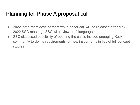#### Planning for Phase A proposal call

- 2022 Instrument development white paper call will be released after May 2022 SSC meeting. SSC will review draft language then.
- SSC discussed possibility of opening the call to include engaging Keck community to define requirements for new instruments in lieu of full concept studies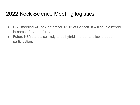#### 2022 Keck Science Meeting logistics

- SSC meeting will be September 15-16 at Caltech. It will be in a hybrid in-person / remote format.
- Future KSMs are also likely to be hybrid in order to allow broader participation.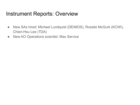#### Instrument Reports: Overview

- New SAs hired: Michael Lundquist (DEIMOS), Rosalie McGurk (KCWI), Chien-Hsu Lee (TDA)
- New AO Operations scientist: Max Service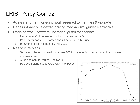#### LRIS: Percy Gomez

- Aging instrument; ongoing work required to maintain & upgrade
- Repairs done: blue dewar, grating mechanism, guider electronics
- Ongoing work: software upgrades, grism mechanism
	- New control GUI developed, including a new focus GUI
	- Polarimeter parts under order, should be repaired by June
	- R150 grating replacement by mid-2022
- Near-future plans
	- Servicing mission planned in summer 2023: only one dark period downtime, planning underway now
	- A replacement for 'autoslit' software
	- Replace Solaris-based GUIs with linux-based

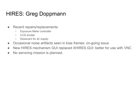### HIRES: Greg Doppmann

- Recent repairs/replacements
	- Exposure Meter controller
	- CCD shutter
	- Dessicant for air supply
- Occasional noise artifacts seen in bias frames: on-going issue
- New HIRES mechanism GUI replaced XHIRES GUI: better for use with VNC
- No servicing mission is planned.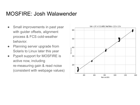#### MOSFIRE: Josh Walawender

- Small improvements in past year with guider offsets, alignment process & FCS cold-weather behavior.
- Planning server upgrade from Solaris to Linux later this year
- PypeIt support for MOSFIRE is active now, including re-measuring gain & read noise (consistent with webpage values)

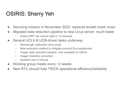#### OSIRIS: Sherry Yeh

- Servicing mission in November 2020: replaced lenslet mask motor
- Migrated data reduction pipeline to new Linux server: much faster
	- Online DRP can reduce data in <5 seconds
- Several UCLA & UCB-driven tasks underway
	- Wavelength calibration error study
	- New extraction method to mitigate incorrect flux assignment
	- Imager data reduction pipeline: now available on Github
	- Imager distortion correction
	- Updated user's manual
- Working group meets every  $\sim$  2 weeks
- New RTC should help TRICK operational efficiency/reliability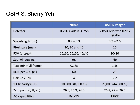#### OSIRIS: Sherry Yeh

|                            | <b>NIRC2</b>         | <b>OSIRIS imager</b>          |
|----------------------------|----------------------|-------------------------------|
| <b>Detector</b>            | 1Kx1K Aladdin-3 InSb | 2Kx2K Teledyne H2RG<br>HgCdTe |
| Wavelength (µm)            | $0.9 - 5.3$          | $0.9 - 2.5$                   |
| Pixel scale (mas)          | 10, 20 and 40        | 10                            |
| FOV (arcsec <sup>2</sup> ) | 10x10, 20x20, 40x40  | 20x20                         |
| Sub-windowing              | Yes                  | <b>No</b>                     |
| Texp min (full frame)      | 0.18 <sub>S</sub>    | 1.5s                          |
| RON per CDS (e-)           | 60                   | 23                            |
| Gain (e-/DN)               | 4                    | 2.2                           |
| 1% linearity (DN)          | 10,000 (40,000 e-)   | 20,000 (44,000 e-)            |
| Zero point (J, H, Kp)      | 26.8, 26.9, 26.3     | 26.8, 27.4, 26.6              |
| AO capabilities            | <b>PyWFS</b>         | <b>TRICK</b>                  |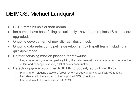#### DEIMOS: Michael Lundquist

- CCD5 remains noisier than normal
- Ion pumps have been failing occasionally have been replaced & controllers upgraded.
- Ongoing development of new slitmask design tool.
- Ongoing data reduction pipeline development by PypeIt team, including a quicklook mode.
- Rotator servicing mission planned for May/June
	- Large undertaking involving partially lifting the instrument with a crane in order to access the rollers and bearings, involving a lot of safety coordination.
- Detector upgrade: submitted NSF MRI proposal, led by Evan Kirby
	- Planning for Teledyne detectors (procurement already underway with WMKO funding)
	- New dewar with hexapod mount for improved FCS corrections
	- If funded, would be completed in late 2024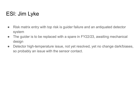### ESI: Jim Lyke

- Risk matrix entry with top risk is guider failure and an antiquated detector system
- The guider is to be replaced with a spare in FY22/23, awaiting mechanical design
- Detector high-temperature issue, not yet resolved, yet no change dark/biases, so probably an issue with the sensor contact.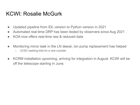#### KCWI: Rosalie McGurk

- Updated pipeline from IDL version to Python version in 2021
- Automated real-time DRP has been tested by observers since Aug 2021
- KOA now offers real-time raw & reduced data
- Monitoring minor leak in the LN dewar, ion pump replacement has helped ○ UCSC seeking bids for a new cryostat
- KCRM installation upcoming, arriving for integration in August. KCWI will be off the telescope starting in June.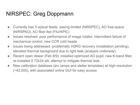### NIRSPEC: Greg Doppmann

- Currently has 3 optical feeds: seeing-limited (NIRSPEC), AO free-space (NIRSPAO), AO fiber-fed (FIU/KPIC)
- Issues resolved: poor performance of image rotator, intermittent failure of mechanical control, new CCR cold heads
- Issues being addressed: problematic H2RG recovery (installation pending), elevated thermal background due to light leak (analysis underway).
- Recent open dewar (Feb 8/9): installed optimized AO pupil, new K-band filter, re-installed 0.72x24 slit, attempt to mitigate thermal leak
- New calibration database (arc lamps and stellar templates) at high-resolution (~42,000), with associated online GUI for easy access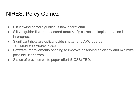#### NIRES: Percy Gomez

- Slit-viewing camera guiding is now operational
- Slit vs. guider flexure measured (max < 1"); correction implementation is in-progress.
- Significant risks are optical guide shutter and ARC boards.
	- Guider to be replaced in 2022
- Software improvements ongoing to improve observing efficiency and minimize possible user errors.
- Status of previous white paper effort (UCSB) TBD.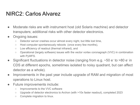#### NIRC2: Carlos Alvarez

- Moderate risks are with instrument host (old Solaris machine) and detector transputers; additional risks with other detector electronics.
- Ongoing issues:
	- Detector server crashes occur almost every night, but little lost time,
	- Host computer spontaneously reboots (once every few months),
	- Low efficiency of readout (thermal infrared), and
	- Operational (largely software) issues with the vector vortex coronagraph (VVC) in combination with PyWFS.
- Significant fluctuations in detector noise (ranging from e.g.  $\sim$  50 e<sup>-</sup> to >80 e<sup>-</sup> in CDS at different epochs, sometimes isolated to noisy quadrant, but can affect detector as a whole).
- Improvements in the past year include upgrade of RAM and migration of most operations to Linux host.
- Future improvements include:
	- Improvements to the VVC software
	- Upgrade of detector electronics to Archon (with >10x faster readout), completed 2023
	- Complete migration to linux.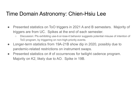#### Time Domain Astronomy: Chien-Hsiu Lee

- Presented statistics on ToO triggers in 2021 A and B semesters. Majority of triggers are from UC. Spikes at the end of each semester.
	- Discussion: PIs exhibiting use-it-or-lose-it behavior suggests potential misuse of intention of ToO program, by triggering on non-high-priority events.
- Longer-term statistics from 19A-21B show dip in 2020, possibly due to pandemic-related restrictions on instrument swaps.
- Presented statistics on # of occurrences for twilight cadence program. Majority on K2, likely due to AO. Spike in 19B.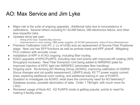#### AO: Max Service and Jim Lyke

- Major risk is the suite of ongoing upgrades. Additional risks due to inconsistency in calibrations. Several others including K1 ACAM failure, DM electronics failure, and other less-impactful risks.
- Updates since last year:
	- Hiring of AO Ops. Scientist Max Service
	- Improvements in room cooling, OBS power supplies, K2 ACAM replacement, rollout of linux kNanoservers
- Precision Calibration Unit (PI: J. Lu of UCB) acts as replacement of Source Fiber Positioner stage. New unit has SFP functions as well as pinhole mask and KPF pickoff. Mitigating PCU collision with encoder cover.
- Installation of KPF in K1AO ongoing, including fiber routing.
- K2AO upgrades of KPIC/PyWFS, including new roof prisms with improved AR coating (30% throughput increase). New Fiber Extraction Unit being added to NIRSPAO plate for improved injection of KPIC light into NIRSPEC (eliminates fiber handling).
- Ongoing work: Re-forming AO Working Group (AOWG), improving calibration of OSIRIS (focus changes and cal quality assessment), LBWFS study, K2 TT power supply current draw, exploring additional room cooling, and additional training in use of PyWFS.
- Question to investigate via AOWG: what does the community need for AO telemetry? Database access, possible decimation of data. Order 1 TB/night, with much more for LTAO.
- Reviewed usage of Keck AO. K2 PyWFS mode is getting popular, points to need for making it facility-class.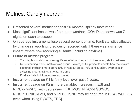#### Metrics: Carolyn Jordan

- Presented several metrics for past 16 months, split by instrument.
- Most significant impact was from poor weather. COVID shutdown was 7 nights on each telescope.
- On average instruments lose several percent of time. Fault statistics affected by change in reporting; previously recorded only if there was a science impact, where now recording all faults (including daytime).
- Future of metrics program:
	- Tracking faults which require significant effort on the part of observatory staff to address.
	- Understanding where inefficiencies occur. Leverage DSI project to update how metrics are captured, including more granularity in readout times, inst. configuration, overheads in switching programs/instruments, idle time
	- Produce data to inform observing model
- Instrument usage on K1 is fairly level over past 5 years.
- Instrument usage on K2 is more variable: increases in ESI and NIRC2-PyWFS, with decreases in DEIMOS, NIRC2-LGS/NGS, NIRSPEC/NIRSPAO, and NIRES. [KPIC may be captured in NIRSPAO-LGS, even when using PyWFS, TBC]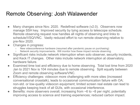#### Remote Observing: Josh Walawender

- Many changes since Nov. 2020. Redefined software (v2.0). Observers now manage SSH key. Improved security by tying access to telescope schedule. Remote observing request now handles all nights of observing and links to schedule/VSQ/VNC. Vastly reduced effort to run remote observing relative to pre-Nov 2020.
- Changes in progress:
	- New videoconference hardware (resumed after pandemic pause on purchasing)
	- Network security improvements. Will monitor how these impact remote observing.
- Significant risks include network interruption when solo observer, security incidents, and Keck IT changes. Other risks include network interruption at observatory, hardware failure.
- Examined time lost and efficiency due to home observing. Total lost time from 2020 Jan to 2021 Nov is 104 minutes due to remote observing. Split equally between Zoom and remote observing software/VNC.
- Efficiency challenges: videocon more challenging with more sites (increased conversational crosstalk), leads to occasional communication failure with OA; non-std. or low-quality videocon equipment; limited screen real estate can lead to struggles keeping track of all GUIs, with occasional interference.
- Benefits: more observers overall, increasing from  $\sim$ 6 to  $\sim$ 8 per night, potentially improving access to science and training experiences; reduced carbon impact.